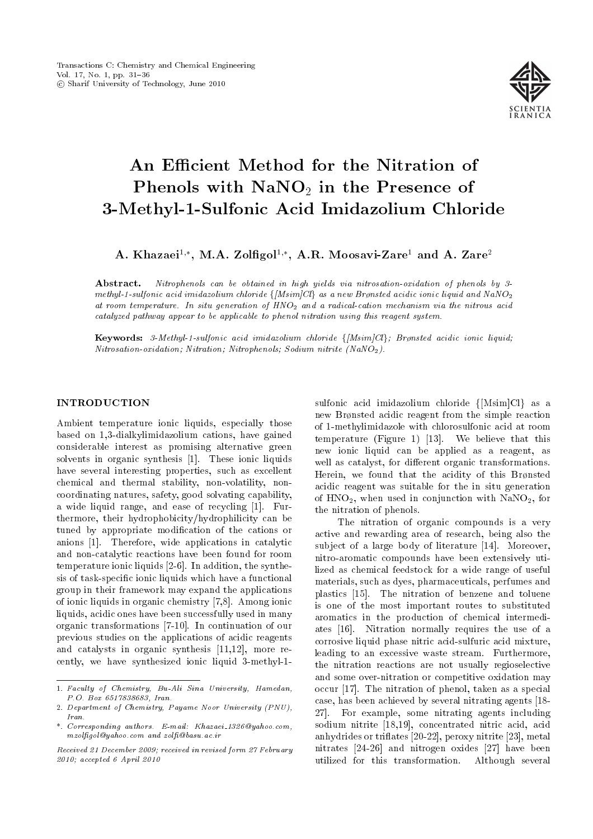

# An Efficient Method for the Nitration of Phenols with  $\text{NaNO}_2$  in the Presence of 3-Methyl-1-Sulfonic Acid Imidazolium Chloride

A. Khazaei $^{1,\ast},\,$  M.A. Zolfigol $^{1,\ast},\,$  A.R. Moosavi-Zare $^1$  and A. Zare $^2$ 

Abstract. Nitrophenols can be obtained in high yields via nitrosation-oxidation of phenols by 3methyl-1-sulfonic acid imidazolium chloride  $\{[Msim]Cl\}$  as a new Brønsted acidic ionic liquid and NaNO<sub>2</sub> at room temperature. In situ generation of HNO<sub>2</sub> and a radical-cation mechanism via the nitrous acid catalyzed pathway appear to be applicable to phenol nitration using this reagent system.

Keywords: 3-Methyl-1-sulfonic acid imidazolium chloride  $\{[Msim]Cl\}$ ; Brønsted acidic ionic liquid; Nitrosation-oxidation; Nitration; Nitrophenols; Sodium nitrite (NaNO2).

## INTRODUCTION

Ambient temperature ionic liquids, especially those based on 1,3-dialkylimidazolium cations, have gained considerable interest as promising alternative green solvents in organic synthesis [1]. These ionic liquids have several interesting properties, such as excellent chemical and thermal stability, non-volatility, noncoordinating natures, safety, good solvating capability, a wide liquid range, and ease of recycling [1]. Furthermore, their hydrophobicity/hydrophilicity can be tuned by appropriate modication of the cations or anions [1]. Therefore, wide applications in catalytic and non-catalytic reactions have been found for room temperature ionic liquids [2-6]. In addition, the synthesis of task-specic ionic liquids which have a functional group in their framework may expand the applications of ionic liquids in organic chemistry [7,8]. Among ionic liquids, acidic ones have been successfully used in many organic transformations [7-10]. In continuation of our previous studies on the applications of acidic reagents and catalysts in organic synthesis [11,12], more recently, we have synthesized ionic liquid 3-methyl-1sulfonic acid imidazolium chloride  ${Msim|Cl}$  as a new Brønsted acidic reagent from the simple reaction of 1-methylimidazole with chlorosulfonic acid at room temperature (Figure 1) [13]. We believe that this new ionic liquid can be applied as a reagent, as well as catalyst, for different organic transformations. Herein, we found that the acidity of this Brønsted acidic reagent was suitable for the in situ generation of  $HNO<sub>2</sub>$ , when used in conjunction with  $NaNO<sub>2</sub>$ , for the nitration of phenols.

The nitration of organic compounds is a very active and rewarding area of research, being also the subject of a large body of literature [14]. Moreover, nitro-aromatic compounds have been extensively utilized as chemical feedstock for a wide range of useful materials, such as dyes, pharmaceuticals, perfumes and plastics [15]. The nitration of benzene and toluene is one of the most important routes to substituted aromatics in the production of chemical intermediates [16]. Nitration normally requires the use of a corrosive liquid phase nitric acid-sulfuric acid mixture, leading to an excessive waste stream. Furthermore, the nitration reactions are not usually regioselective and some over-nitration or competitive oxidation may occur [17]. The nitration of phenol, taken as a special case, has been achieved by several nitrating agents [18- 27]. For example, some nitrating agents including sodium nitrite [18,19], concentrated nitric acid, acid anhydrides or triflates [20-22], peroxy nitrite [23], metal nitrates [24-26] and nitrogen oxides [27] have been utilized for this transformation. Although several

<sup>1.</sup> Faculty of Chemistry, Bu-Ali Sina University, Hamedan, P.O. Box 6517838683, Iran.

<sup>2.</sup> Department of Chemistry, Payame Noor University (PNU), Iran.

<sup>\*.</sup> Corresponding authors. E-mail: Khazaei 1326@yahoo.com, mzolfigol@yahoo.com and zolfi@basu.ac.ir

Received 21 December 2009; received in revised form 27 February 2010; accepted 6 April 2010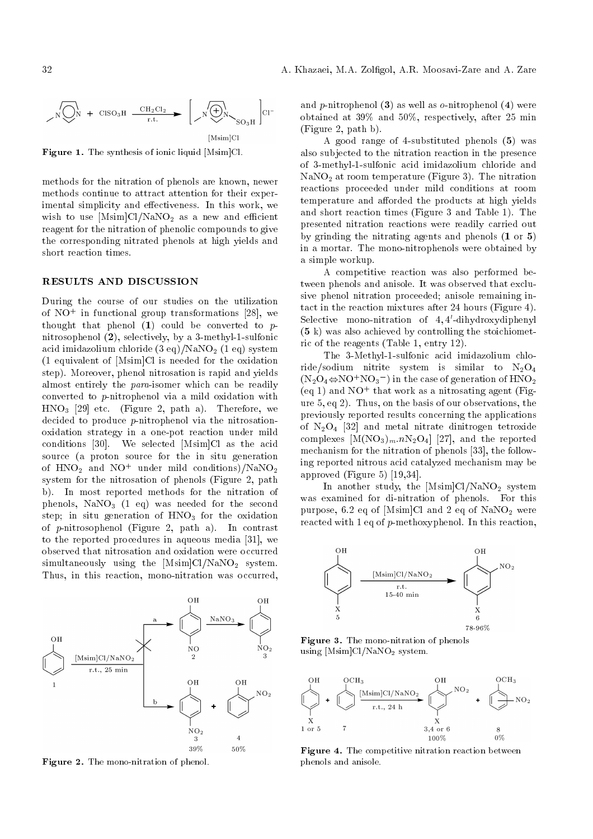

Figure 1. The synthesis of ionic liquid [Msim]Cl.

methods for the nitration of phenols are known, newer methods continue to attract attention for their experimental simplicity and effectiveness. In this work, we wish to use  $[Msim]Cl/NaNO_2$  as a new and efficient reagent for the nitration of phenolic compounds to give the corresponding nitrated phenols at high yields and short reaction times.

#### RESULTS AND DISCUSSION

During the course of our studies on the utilization of  $NO^+$  in functional group transformations [28], we thought that phenol  $(1)$  could be converted to  $p$ nitrosophenol (2), selectively, by a 3-methyl-1-sulfonic acid imidazolium chloride  $(3 \text{ eq})/NaNO_2$  (1 eq) system (1 equivalent of [Msim]Cl is needed for the oxidation step). Moreover, phenol nitrosation is rapid and yields almost entirely the para-isomer which can be readily converted to p-nitrophenol via a mild oxidation with  $HNO<sub>3</sub>$  [29] etc. (Figure 2, path a). Therefore, we decided to produce p-nitrophenol via the nitrosationoxidation strategy in a one-pot reaction under mild conditions [30]. We selected [Msim]Cl as the acid source (a proton source for the in situ generation of  $HNO<sub>2</sub>$  and  $NO<sup>+</sup>$  under mild conditions)/NaNO<sub>2</sub> system for the nitrosation of phenols (Figure 2, path b). In most reported methods for the nitration of phenols,  $\text{NaNO}_3$  (1 eq) was needed for the second step; in situ generation of  $HNO<sub>3</sub>$  for the oxidation of p-nitrosophenol (Figure 2, path a). In contrast to the reported procedures in aqueous media [31], we observed that nitrosation and oxidation were occurred simultaneously using the  $[Msim]Cl/NaNO<sub>2</sub>$  system. Thus, in this reaction, mono-nitration was occurred,



Figure 2. The mono-nitration of phenol.

and p-nitrophenol  $(3)$  as well as o-nitrophenol  $(4)$  were obtained at 39% and 50%, respectively, after 25 min (Figure 2, path b).

A good range of 4-substituted phenols (5) was also subjected to the nitration reaction in the presence of 3-methyl-1-sulfonic acid imidazolium chloride and  $\text{NaNO}_2$  at room temperature (Figure 3). The nitration reactions proceeded under mild conditions at room temperature and afforded the products at high yields and short reaction times (Figure 3 and Table 1). The presented nitration reactions were readily carried out by grinding the nitrating agents and phenols (1 or 5) in a mortar. The mono-nitrophenols were obtained by a simple workup.

A competitive reaction was also performed between phenols and anisole. It was observed that exclusive phenol nitration proceeded; anisole remaining intact in the reaction mixtures after 24 hours (Figure 4). Selective mono-nitration of 4,4'-dihydroxydiphenyl (5 k) was also achieved by controlling the stoichiometric of the reagents (Table 1, entry 12).

The 3-Methyl-1-sulfonic acid imidazolium chloride/sodium nitrite system is similar to  $N_2O_4$  $(N_2O_4 \Leftrightarrow NO^{+}NO_3^{-})$  in the case of generation of  $HNO_2$ (eq 1) and  $NO^+$  that work as a nitrosating agent (Figure 5, eq 2). Thus, on the basis of our observations, the previously reported results concerning the applications of  $N_2O_4$  [32] and metal nitrate dinitrogen tetroxide complexes  $[M(NO_3)_m \cdot nN_2O_4]$  [27], and the reported mechanism for the nitration of phenols [33], the following reported nitrous acid catalyzed mechanism may be approved (Figure 5) [19,34].

In another study, the  $[Msim]Cl/NaNO<sub>2</sub>$  system was examined for di-nitration of phenols. For this purpose, 6.2 eq of [Msim]Cl and 2 eq of  $NaNO<sub>2</sub>$  were reacted with 1 eq of p-methoxyphenol. In this reaction,



Figure 3. The mono-nitration of phenols using  $[Msim]Cl/NaNO<sub>2</sub>$  system.



Figure 4. The competitive nitration reaction between phenols and anisole.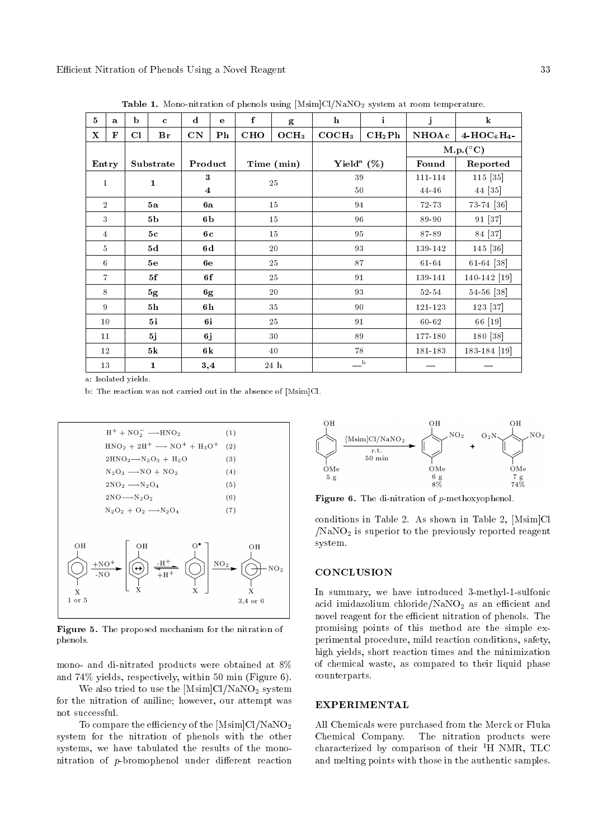| $\overline{5}$ | $\mathbf{a}$   | b              | $\mathbf c$   | $\mathbf d$             | e              | f          | g                | $\mathbf{h}$              | $\mathbf{i}$       | $\mathbf{j}$       | $\bf k$                    |
|----------------|----------------|----------------|---------------|-------------------------|----------------|------------|------------------|---------------------------|--------------------|--------------------|----------------------------|
| $\mathbf X$    | F              | C1             | Br            | CN                      | $\mathbf{P}$ h | <b>CHO</b> | OCH <sub>3</sub> | COCH <sub>3</sub>         | CH <sub>2</sub> Ph | <b>NHOAc</b>       | $4-\text{HOC}_6\text{H}_4$ |
|                |                |                |               |                         |                |            |                  |                           |                    | $M.p. (^{\circ}C)$ |                            |
|                | Entry          |                | Substrate     | Product                 |                |            | Time (min)       | Yield <sup>a</sup> $(\%)$ |                    | Found              | Reported                   |
| 1              |                | $\mathbf{1}$   |               | 3                       |                | 25         |                  | 39                        |                    | 111-114            | 115 [35]                   |
|                |                |                |               | $\overline{\mathbf{4}}$ |                |            |                  | 50                        |                    | 44 46              | 44 [35]                    |
|                | $\overline{2}$ | 5a             |               | 6а                      |                | 15         |                  | 94                        |                    | 72-73              | 73-74 [36]                 |
|                | 3              | 5 <sub>b</sub> |               | 6b                      |                | 15         |                  | 96                        |                    | 89-90              | 91 [37]                    |
|                | $\overline{4}$ |                | 5c            |                         | 6с             |            | 15               |                           | 95                 |                    | 84 [37]                    |
|                | 5              |                | 5d            | 6d                      |                |            | 20               | 93                        |                    | 139-142            | 145 [36]                   |
| 6              |                |                | 5e            | <b>6e</b>               |                |            | 25               | 87                        |                    | $61 - 64$          | 61-64 [38]                 |
|                | $\overline{7}$ | 5f             |               | 6f                      |                | 25         |                  | 91                        |                    | 139-141            | 140-142 [19]               |
|                | 8              |                | 5g            | 6g                      |                |            | 20               | 93                        |                    | 52 54              | 54-56 [38]                 |
|                | 9              | 5 <sub>h</sub> |               | 6h                      |                | 35         |                  | 90                        |                    | 121-123            | 123 [37]                   |
|                | 10             |                | 5i            | 6i                      |                |            | 25               | 91                        |                    | $60 - 62$          | 66 [19]                    |
|                | 11             |                | 5j            | 6j                      |                |            | 30               | 89                        |                    | 177-180            | 180 [38]                   |
|                | 12             |                | $5\mathrm{k}$ | 6k                      |                |            | 40               | 78                        |                    | 181-183            | 183-184 [19]               |
|                | 13             |                | $\mathbf{1}$  | 3,4                     |                |            | 24 h             | $\mathbf{b}$              |                    |                    |                            |

Table 1. Mono-nitration of phenols using  $[Msim]Cl/NaNO<sub>2</sub>$  system at room temperature.

a: Isolated yields.

b: The reaction was not carried out in the absence of [Msim]Cl.



Figure 5. The proposed mechanism for the nitration of phenols.

mono- and di-nitrated products were obtained at 8% and 74% yields, respectively, within 50 min (Figure 6).

We also tried to use the  $[Msim]Cl/NaNO<sub>2</sub>$  system for the nitration of aniline; however, our attempt was not successful.

To compare the efficiency of the  $[Msim]Cl/NaNO_2$ system for the nitration of phenols with the other systems, we have tabulated the results of the mononitration of  $p$ -bromophenol under different reaction



Figure 6. The di-nitration of p-methoxyophenol.

conditions in Table 2. As shown in Table 2, [Msim]Cl  $/NaNO<sub>2</sub>$  is superior to the previously reported reagent system.

### **CONCLUSION**

In summary, we have introduced 3-methyl-1-sulfonic acid imidazolium chloride/NaNO<sub>2</sub> as an efficient and novel reagent for the efficient nitration of phenols. The promising points of this method are the simple experimental procedure, mild reaction conditions, safety, high yields, short reaction times and the minimization of chemical waste, as compared to their liquid phase counterparts.

## EXPERIMENTAL

All Chemicals were purchased from the Merck or Fluka Chemical Company. The nitration products were characterized by comparison of their  ${}^{1}H$  NMR, TLC and melting points with those in the authentic samples.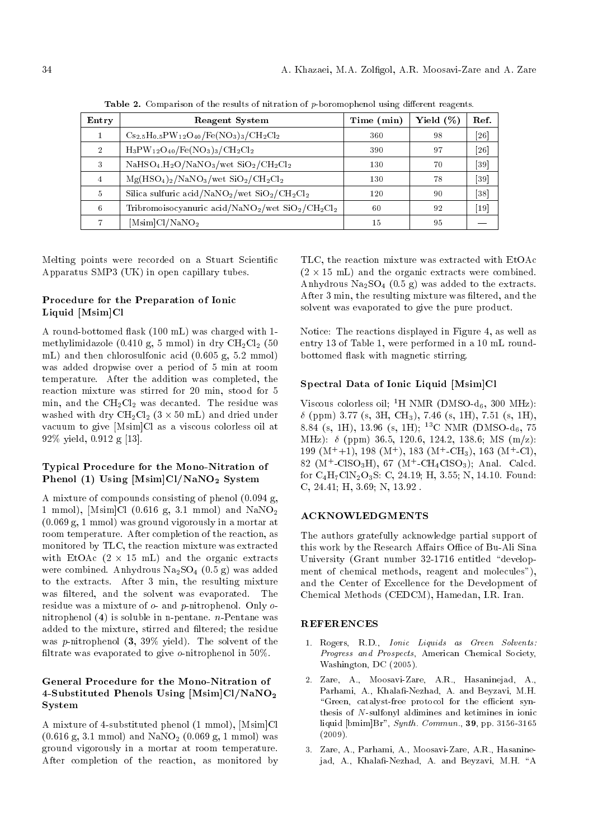| Entry          | <b>Reagent System</b>                                                                             | Time (min) | Yield $(\%)$ | Ref.              |
|----------------|---------------------------------------------------------------------------------------------------|------------|--------------|-------------------|
|                | $C_{S_2,5}H_{0.5}PW_{12}O_{40}/Fe(NO_3)_3/CH_2Cl_2$                                               | 360        | 98           | 26                |
| $\mathcal{D}$  | $H_3PW_{12}O_{40}/Fe(NO_3)_3/CH_2Cl_2$                                                            | 390        | 97           | 26                |
| 3              | $NaHSO4.H2O/NaNO3/wet SiO2/CH2Cl2$                                                                | 130        | 70           | 39                |
| $\overline{4}$ | $Mg(HSO_4)_2/NaNO_3/wet$ SiO <sub>2</sub> /CH <sub>2</sub> Cl <sub>2</sub>                        | 130        | 78           | 39                |
| $\overline{5}$ | Silica sulfuric acid/NaNO <sub>2</sub> /wet $\rm SiO_2/CH_2Cl_2$                                  | 120        | 90           | 38                |
| 6              | Tribromoisocyanuric acid/NaNO <sub>2</sub> /wet SiO <sub>2</sub> /CH <sub>2</sub> Cl <sub>2</sub> | 60         | 92           | $\left[19\right]$ |
|                | $[Msim]$ Cl/NaNO <sub>2</sub>                                                                     | 15         | 95           |                   |

Table 2. Comparison of the results of nitration of  $p$ -boromophenol using different reagents.

Melting points were recorded on a Stuart Scientific Apparatus SMP3 (UK) in open capillary tubes.

# Procedure for the Preparation of Ionic Liquid [Msim]Cl

A round-bottomed 
ask (100 mL) was charged with 1 methylimidazole (0.410 g, 5 mmol) in dry  $\text{CH}_2\text{Cl}_2$  (50 mL) and then chlorosulfonic acid (0.605 g, 5.2 mmol) was added dropwise over a period of 5 min at room temperature. After the addition was completed, the reaction mixture was stirred for 20 min, stood for 5 min, and the  $CH<sub>2</sub>Cl<sub>2</sub>$  was decanted. The residue was washed with dry  $\rm CH_2Cl_2$   $(3 \times 50 \; \rm mL)$  and dried under vacuum to give [Msim]Cl as a viscous colorless oil at 92% yield, 0.912 g [13].

# Typical Procedure for the Mono-Nitration of Phenol (1) Using [Msim]Cl/NaNO<sub>2</sub> System

A mixture of compounds consisting of phenol (0.094 g, 1 mmol), [Msim]Cl (0.616 g, 3.1 mmol) and  $\text{NaNO}_2$ (0.069 g, 1 mmol) was ground vigorously in a mortar at room temperature. After completion of the reaction, as monitored by TLC, the reaction mixture was extracted with EtOAc  $(2 \times 15 \text{ mL})$  and the organic extracts were combined. Anhydrous  $Na<sub>2</sub>SO<sub>4</sub>$  (0.5 g) was added to the extracts. After 3 min, the resulting mixture was filtered, and the solvent was evaporated. The residue was a mixture of  $o$ - and  $p$ -nitrophenol. Only  $o$ nitrophenol (4) is soluble in n-pentane. *n*-Pentane was added to the mixture, stirred and filtered; the residue was p-nitrophenol  $(3, 39\%$  yield). The solvent of the filtrate was evaporated to give  $o$ -nitrophenol in 50%.

# General Procedure for the Mono-Nitration of 4-Substituted Phenols Using [Msim]Cl/NaNO<sup>2</sup> **System**

A mixture of 4-substituted phenol (1 mmol), [Msim]Cl  $(0.616 \text{ g}, 3.1 \text{ mmol})$  and  $\text{NaNO}_2$   $(0.069 \text{ g}, 1 \text{ mmol})$  was ground vigorously in a mortar at room temperature. After completion of the reaction, as monitored by TLC, the reaction mixture was extracted with EtOAc  $(2 \times 15 \text{ mL})$  and the organic extracts were combined. Anhydrous  $Na<sub>2</sub>SO<sub>4</sub>$  (0.5 g) was added to the extracts. After 3 min, the resulting mixture was filtered, and the solvent was evaporated to give the pure product.

Notice: The reactions displayed in Figure 4, as well as entry 13 of Table 1, were performed in a 10 mL roundbottomed 
ask with magnetic stirring.

# Spectral Data of Ionic Liquid [Msim]Cl

Viscous colorless oil; <sup>1</sup>H NMR (DMSO- $d_6$ , 300 MHz):  $\delta$  (ppm) 3.77 (s, 3H, CH<sub>3</sub>), 7.46 (s, 1H), 7.51 (s, 1H), 8.84 (s, 1H), 13.96 (s, 1H); <sup>13</sup>C NMR (DMSO-d<sub>6</sub>, 75 MHz):  $\delta$  (ppm) 36.5, 120.6, 124.2, 138.6; MS (m/z): 199  $(M^+ +1)$ , 198  $(M^+)$ , 183  $(M^+ -CH_3)$ , 163  $(M^+ -Cl)$ , 82 ( $M^+$ -ClSO<sub>3</sub>H), 67 ( $M^+$ -CH<sub>4</sub>ClSO<sub>3</sub>); Anal. Calcd. for  $C_4H_7CIN_2O_3S$ : C, 24.19; H, 3.55; N, 14.10. Found: C, 24.41; H, 3.69; N, 13.92 .

#### ACKNOWLEDGMENTS

The authors gratefully acknowledge partial support of this work by the Research Affairs Office of Bu-Ali Sina University (Grant number 32-1716 entitled "development of chemical methods, reagent and molecules"), and the Center of Excellence for the Development of Chemical Methods (CEDCM), Hamedan, I.R. Iran.

## REFERENCES

- 1. Rogers, R.D., Ionic Liquids as Green Solvents: Progress and Prospects, American Chemical Society, Washington, DC (2005).
- 2. Zare, A., Moosavi-Zare, A.R., Hasaninejad, A., Parhami, A., Khalafi-Nezhad, A. and Beyzavi, M.H. "Green, catalyst-free protocol for the efficient synthesis of N-sulfonyl aldimines and ketimines in ionic liquid  $[bmin]Br$ ", *Synth. Commun.*, 39, pp. 3156-3165 (2009).
- 3. Zare, A., Parhami, A., Moosavi-Zare, A.R., Hasaninejad, A., Khalafi-Nezhad, A. and Beyzavi, M.H. "A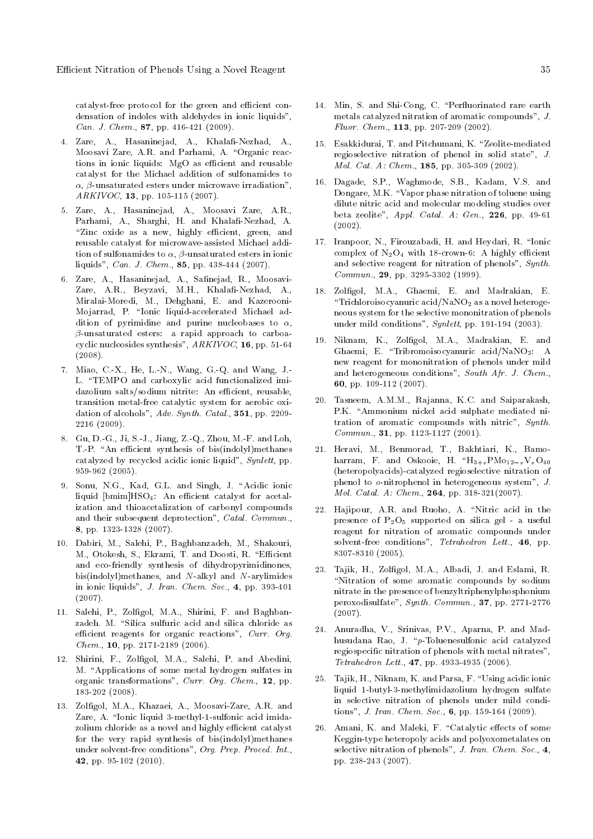catalyst-free protocol for the green and efficient condensation of indoles with aldehydes in ionic liquids", Can. J. Chem., 87, pp. 416-421 (2009).

- 4. Zare, A., Hasaninejad, A., Khalafi-Nezhad, A., Moosavi Zare, A.R. and Parhami, A. "Organic reactions in ionic liquids: MgO as efficient and reusable catalyst for the Michael addition of sulfonamides to  $\alpha$ ,  $\beta$ -unsaturated esters under microwave irradiation", ARKIVOC, 13, pp. 105-115 (2007).
- 5. Zare, A., Hasaninejad, A., Moosavi Zare, A.R., Parhami, A., Sharghi, H. and Khalafi-Nezhad, A. "Zinc oxide as a new, highly efficient, green, and reusable catalyst for microwave-assisted Michael addition of sulfonamides to  $\alpha$ ,  $\beta$ -unsaturated esters in ionic liquids", Can. J. Chem., 85, pp. 438-444 (2007).
- 6. Zare, A., Hasaninejad, A., Safinejad, R., Moosavi-Zare, A.R., Beyzavi, M.H., Khalafi-Nezhad, A., Miralai-Moredi, M., Dehghani, E. and Kazerooni-Mojarrad, P. "Ionic liquid-accelerated Michael addition of pyrimidine and purine nucleobases to  $\alpha$ ,  $\beta$ -unsaturated esters: a rapid approach to carboacyclic nucleosides synthesis", ARKIVOC, 16, pp. 51-64 (2008).
- 7. Miao, C.-X., He, L.-N., Wang, G.-Q. and Wang, J.- L. \TEMPO and carboxylic acid functionalized imidazolium salts/sodium nitrite: An efficient, reusable, transition metal-free catalytic system for aerobic oxidation of alcohols", Adv. Synth. Catal., 351, pp. 2209-2216 (2009).
- 8. Gu, D.-G., Ji, S.-J., Jiang, Z.-Q., Zhou, M.-F. and Loh, T.-P. "An efficient synthesis of bis(indolyl)methanes catalyzed by recycled acidic ionic liquid", Synlett, pp. 959-962 (2005).
- 9. Sonu, N.G., Kad, G.L. and Singh, J. "Acidic ionic liquid  $[bmin]$ HSO<sub>4</sub>: An efficient catalyst for acetalization and thioacetalization of carbonyl compounds and their subsequent deprotection", Catal. Commun., 8, pp. 1323-1328 (2007).
- 10. Dabiri, M., Salehi, P., Baghbanzadeh, M., Shakouri, M., Otokesh, S., Ekrami, T. and Doosti, R. "Efficient and eco-friendly synthesis of dihydropyrimidinones, bis(indolyl)methanes, and  $N$ -alkyl and  $N$ -arylimides in ionic liquids", J. Iran. Chem. Soc., 4, pp. 393-401 (2007).
- 11. Salehi, P., Zolfigol, M.A., Shirini, F. and Baghbanzadeh. M. "Silica sulfuric acid and silica chloride as efficient reagents for organic reactions", Curr. Org. Chem., 10, pp. 2171-2189 (2006).
- 12. Shirini, F., Zolgol, M.A., Salehi, P. and Abedini, M. "Applications of some metal hydrogen sulfates in organic transformations", Curr. Org. Chem., 12, pp. 183-202 (2008).
- 13. Zolfigol, M.A., Khazaei, A., Moosavi-Zare, A.R. and Zare, A. "Ionic liquid 3-methyl-1-sulfonic acid imidazolium chloride as a novel and highly efficient catalyst for the very rapid synthesis of bis(indolyl)methanes under solvent-free conditions", Org. Prep. Proced. Int., 42, pp. 95-102 (2010).
- 14. Min, S. and Shi-Cong, C. "Perfluorinated rare earth metals catalyzed nitration of aromatic compounds", J. Fluor. Chem., 113, pp. 207-209 (2002).
- 15. Esakkidurai, T. and Pitchumani, K. "Zeolite-mediated regioselective nitration of phenol in solid state", J. Mol. Cat. A: Chem., 185, pp. 305-309 (2002).
- 16. Dagade, S.P., Waghmode, S.B., Kadam, V.S. and Dongare, M.K. "Vapor phase nitration of toluene using dilute nitric acid and molecular modeling studies over beta zeolite", Appl. Catal. A: Gen., 226, pp. 49-61 (2002).
- 17. Iranpoor, N., Firouzabadi, H. and Heydari, R. \Ionic complex of  $N_2O_4$  with 18-crown-6: A highly efficient and selective reagent for nitration of phenols", Synth. Commun., 29, pp. 3295-3302 (1999).
- 18. Zolfigol, M.A., Ghaemi, E. and Madrakian, E. "Trichloroisocyanuric acid/NaNO<sub>2</sub> as a novel heterogeneous system for the selective mononitration of phenols under mild conditions", Synlett, pp. 191-194 (2003).
- 19. Niknam, K., Zolfigol, M.A., Madrakian, E. and Ghaemi, E. \Tribromoisocyanuric acid/NaNO2: A new reagent for mononitration of phenols under mild and heterogeneous conditions", South Afr. J. Chem., 60, pp. 109-112 (2007).
- 20. Tasneem, A.M.M., Rajanna, K.C. and Saiparakash, P.K. "Ammonium nickel acid sulphate mediated nitration of aromatic compounds with nitric", Synth. Commun., 31, pp. 1123-1127 (2001).
- 21. Heravi, M., Benmorad, T., Bakhtiari, K., Bamoharram, F. and Oskooie, H.  $H_{3+x}PMo_{12-x}V_{x}O_{40}$ (heteropolyacids)-catalyzed regioselective nitration of phenol to o-nitrophenol in heterogeneous system", J. Mol. Catal. A: Chem., 264, pp. 318-321(2007).
- 22. Hajipour, A.R. and Ruoho, A. "Nitric acid in the presence of  $P_2O_5$  supported on silica gel - a useful reagent for nitration of aromatic compounds under solvent-free conditions", Tetrahedron Lett., 46, pp. 8307-8310 (2005).
- 23. Tajik, H., Zolfigol, M.A., Albadi, J. and Eslami, R. \Nitration of some aromatic compounds by sodium nitrate in the presence of benzyltriphenylphosphonium peroxodisulfate", Synth. Commun., 37, pp. 2771-2776 (2007).
- 24. Anuradha, V., Srinivas, P.V., Aparna, P. and Madhusudana Rao, J. \p-Toluenesulfonic acid catalyzed regiospecic nitration of phenols with metal nitrates", Tetrahedron Lett., 47, pp. 4933-4935 (2006).
- 25. Tajik, H., Niknam, K. and Parsa, F. \Using acidic ionic liquid 1-butyl-3-methylimidazolium hydrogen sulfate in selective nitration of phenols under mild conditions", J. Iran. Chem. Soc., 6, pp. 159-164 (2009).
- 26. Amani, K. and Maleki, F. "Catalytic effects of some Keggin-type heteropoly acids and polyoxometalates on selective nitration of phenols", J. Iran. Chem. Soc., 4, pp. 238-243 (2007).